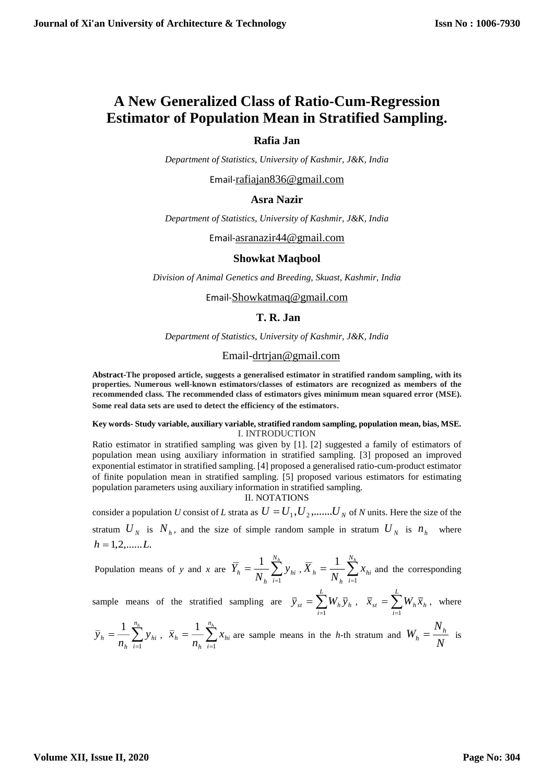# **A New Generalized Class of Ratio-Cum-Regression Estimator of Population Mean in Stratified Sampling.**

## **Rafia Jan**

*Department of Statistics, University of Kashmir, J&K, India*

Email-[rafiajan836@gmail.com](mailto:rafiajan836@gmail.com)

# **Asra Nazir**

*Department of Statistics, University of Kashmir, J&K, India*

Email-[asranazir44@gmail.com](mailto:asranazir44@gmail.com)

#### **Showkat Maqbool**

*Division of Animal Genetics and Breeding, Skuast, Kashmir, India*

Email-[Showkatmaq@gmail.com](mailto:Showkatmaq@gmail.com)

## **T. R. Jan**

*Department of Statistics, University of Kashmir, J&K, India*

#### Email[-drtrjan@gmail.com](mailto:drtrjan@gmail.com)

**Abstract-The proposed article, suggests a generalised estimator in stratified random sampling, with its properties. Numerous well-known estimators/classes of estimators are recognized as members of the recommended class. The recommended class of estimators gives minimum mean squared error (MSE). Some real data sets are used to detect the efficiency of the estimators**.

#### **Key words- Study variable, auxiliary variable, stratified random sampling, population mean, bias, MSE.** I. INTRODUCTION

Ratio estimator in stratified sampling was given by [1]. [2] suggested a family of estimators of population mean using auxiliary information in stratified sampling. [3] proposed an improved exponential estimator in stratified sampling. [4] proposed a generalised ratio-cum-product estimator of finite population mean in stratified sampling. [5] proposed various estimators for estimating population parameters using auxiliary information in stratified sampling.

II. NOTATIONS

consider a population U consist of L strata as  $U = U_1, U_2, \dots, U_N$  of N units. Here the size of the stratum  $U_N$  is  $N_h$ , and the size of simple random sample in stratum  $U_N$  is  $n_h$  where  $h = 1, 2, \ldots L$ .

Population means of *y* and *x* are  $\overline{Y}_h = \frac{1}{N_h} \sum_{i=1}^{n_h}$ Ξ *N<sup>h</sup> i hi h*  $\lambda_h = \frac{1}{N} \sum_{i=1}^{N} y_i$ *Y* 1  $\frac{1}{N_{h}}\sum_{i=1}^{N_{h}}y_{hi}$  ,  $\overline{X}_{h} = \frac{1}{N_{h}}\sum_{i=1}^{N_{h}}$ Ξ *N<sup>h</sup> i hi h*  $h = \frac{1}{N} \sum_{i=1}^{N} x_i$ *X* 1 1 and the corresponding

sample means of the stratified sampling are  $\overline{y}_{st} = \sum_{i=1}^{t}$ = *L i*  $\bar{y}_{st} = \sum W_h \bar{y}_h$  $\sum\limits_{i=1}^{\infty} W_{h} \, \overline{y}_{h} \, \, , \, \, \, \, \overline{x}_{st} \, = \sum\limits_{i=1}^{\infty} \,$ Ξ *L i*  $\bar{x}_{st} = \sum W_h \bar{x}_h$ 1 , where

$$
\overline{y}_h = \frac{1}{n_h} \sum_{i=1}^{n_h} y_{hi}, \ \overline{x}_h = \frac{1}{n_h} \sum_{i=1}^{n_h} x_{hi} \text{ are sample means in the } h\text{-th stratum and } W_h = \frac{N_h}{N} \text{ is}
$$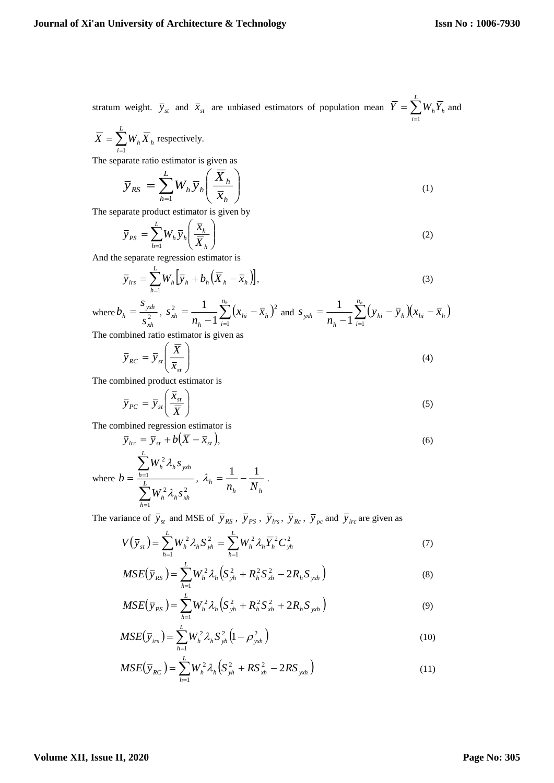stratum weight.  $\bar{y}_{st}$  and  $\bar{x}_{st}$  are unbiased estimators of population mean  $\bar{Y} = \sum_{i=1}^{L}$ *i*  $Y = \sum W_h Y_h$ 1 and

$$
\overline{X} = \sum_{i=1}^{L} W_h \overline{X}_h
$$
 respectively.

The separate ratio estimator is given as

$$
\overline{y}_{RS} = \sum_{h=1}^{L} W_h \overline{y}_h \left( \frac{\overline{X}_h}{\overline{x}_h} \right)
$$
 (1)

The separate product estimator is given by

$$
\overline{y}_{PS} = \sum_{h=1}^{L} W_h \overline{y}_h \left( \frac{\overline{x}_h}{\overline{X}_h} \right)
$$
(2)

And the separate regression estimator is

$$
\overline{y}_{lrs} = \sum_{h=1}^{L} W_h \Big[ \overline{y}_h + b_h \Big( \overline{X}_h - \overline{x}_h \Big) \Big], \tag{3}
$$

where 
$$
b_h = \frac{s_{yxh}}{s_{xh}^2}
$$
,  $s_{xh}^2 = \frac{1}{n_h - 1} \sum_{i=1}^{n_h} (x_{hi} - \bar{x}_h)^2$  and  $s_{yxh} = \frac{1}{n_h - 1} \sum_{i=1}^{n_h} (y_{hi} - \bar{y}_h)(x_{hi} - \bar{x}_h)$   
The combined ratio estimator is given as

The combined ratio estimator is given as

$$
\overline{y}_{RC} = \overline{y}_{st} \left( \frac{\overline{X}}{\overline{x}_{st}} \right)
$$
 (4)

The combined product estimator is

$$
\overline{y}_{PC} = \overline{y}_{st} \left( \frac{\overline{x}_{st}}{\overline{X}} \right)
$$
\n(5)

The combined regression estimator is

$$
\overline{y}_{lrc} = \overline{y}_{st} + b(\overline{X} - \overline{x}_{st}),
$$
\n(6)

where 2 1 2 1 2 *h xh L h h h yxh h h*  $W^{\scriptscriptstyle L\!I}$   $\lambda$  ,  $s$  $W_1^{\scriptscriptstyle\angle} \lambda_1 s$ *b* λ, λ,  $\sum$  $\sum$  $=\frac{h=1}{l}$ , *h h*  $h = n$ , N  $\lambda_{\scriptscriptstyle h} = \frac{1}{1-\frac{1}{\pi n}}$ .

The variance of  $\overline{y}_{st}$  and MSE of  $\overline{y}_{RS}$ ,  $\overline{y}_{PS}$ ,  $\overline{y}_{Irs}$ ,  $\overline{y}_{Rc}$ ,  $\overline{y}_{pc}$  and  $\overline{y}_{Irc}$  are given as

$$
V(\bar{y}_{st}) = \sum_{h=1}^{L} W_h^2 \lambda_h S_{yh}^2 = \sum_{h=1}^{L} W_h^2 \lambda_h \bar{Y}_h^2 C_{yh}^2
$$
 (7)

$$
MSE(\bar{y}_{RS}) = \sum_{h=1}^{L} W_h^2 \lambda_h \Big( S_{yh}^2 + R_h^2 S_{xh}^2 - 2R_h S_{yxh} \Big)
$$
(8)

$$
MSE(\bar{y}_{PS}) = \sum_{h=1}^{L} W_h^2 \lambda_h \Big( S_{yh}^2 + R_h^2 S_{xh}^2 + 2R_h S_{yxh} \Big)
$$
(9)

$$
MSE(\bar{y}_{irs}) = \sum_{h=1}^{L} W_h^2 \lambda_h S_{yh}^2 (1 - \rho_{yxh}^2)
$$
 (10)

$$
MSE(\bar{y}_{RC}) = \sum_{h=1}^{L} W_h^2 \lambda_h \Big( S_{yh}^2 + RS_{xh}^2 - 2RS_{yxh} \Big)
$$
 (11)

## **Volume XII, Issue II, 2020**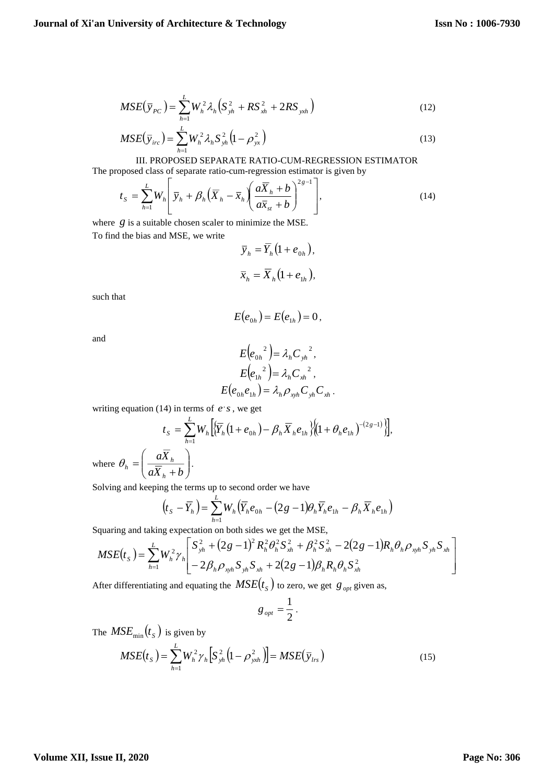$$
MSE(\bar{y}_{PC}) = \sum_{h=1}^{L} W_h^2 \lambda_h \Big( S_{yh}^2 + RS_{xh}^2 + 2RS_{xhh} \Big)
$$
 (12)

$$
MSE(\bar{y}_{inc}) = \sum_{h=1}^{L} W_h^2 \lambda_h S_{yh}^2 \left(1 - \rho_{yx}^2\right)
$$
\n(13)

III. PROPOSED SEPARATE RATIO-CUM-REGRESSION ESTIMATOR The proposed class of separate ratio-cum-regression estimator is given by

$$
t_{S} = \sum_{h=1}^{L} W_{h} \left[ \overline{y}_{h} + \beta_{h} \left( \overline{X}_{h} - \overline{x}_{h} \left( \frac{a \overline{X}_{h} + b}{a \overline{X}_{st} + b} \right)^{2g-1} \right], \tag{14}
$$

where  $g$  is a suitable chosen scaler to minimize the MSE. To find the bias and MSE, we write

$$
\overline{y}_h = \overline{Y}_h \left( 1 + e_{0h} \right),
$$
  

$$
\overline{x}_h = \overline{X}_h \left( 1 + e_{1h} \right),
$$

such that

$$
E(e_{0h})=E(e_{1h})=0,
$$

and

$$
E(e_{0h}^{2}) = \lambda_h C_{yh}^{2},
$$
  
\n
$$
E(e_{1h}^{2}) = \lambda_h C_{xh}^{2},
$$
  
\n
$$
E(e_{0h}e_{1h}) = \lambda_h \rho_{xyh} C_{yh} C_{xh}.
$$

writing equation (14) in terms of  $e^s$ , we get

$$
t_{S} = \sum_{h=1}^{L} W_{h} \Big[ \langle \overline{Y}_{h} (1 + e_{0h}) - \beta_{h} \overline{X}_{h} e_{1h} \rangle \Big] \Big( 1 + \theta_{h} e_{1h} \Big)^{-(2g-1)} \Big],
$$
  
where  $\theta_{h} = \left( \frac{a \overline{X}_{h}}{a \overline{X}_{h} + b} \right).$ 

Solving and keeping the terms up to second order we have

$$
\left(t_{S}-\overline{Y}_{h}\right)=\sum_{h=1}^{L}W_{h}\left(\overline{Y}_{h}e_{0h}-(2g-1)\theta_{h}\overline{Y}_{h}e_{1h}-\beta_{h}\overline{X}_{h}e_{1h}\right)
$$

Squaring and taking expectation on both sides we get the MSE,

$$
MSE(t_S) = \sum_{h=1}^{L} W_h^2 \gamma_h \left[ \frac{S_{yh}^2 + (2g-1)^2 R_h^2 \theta_h^2 S_{xh}^2 + \beta_h^2 S_{xh}^2 - 2(2g-1)R_h \theta_h \rho_{xyh} S_{yh} S_{xh}}{-2\beta_h \rho_{xyh} S_{yh} S_{xh} + 2(2g-1) \beta_h R_h \theta_h S_{xh}^2} \right]
$$

After differentiating and equating the  $MSE(t<sub>S</sub>)$  to zero, we get  $g<sub>opt</sub>$  given as,

$$
g_{opt}=\frac{1}{2}.
$$

The  $MSE_{\text{min}}(t_S)$  is given by

$$
MSE(t_S) = \sum_{h=1}^{L} W_h^2 \gamma_h \Big[ S_{yh}^2 \Big( 1 - \rho_{yxh}^2 \Big) \Big] = MSE(\bar{y}_{lrs})
$$
\n(15)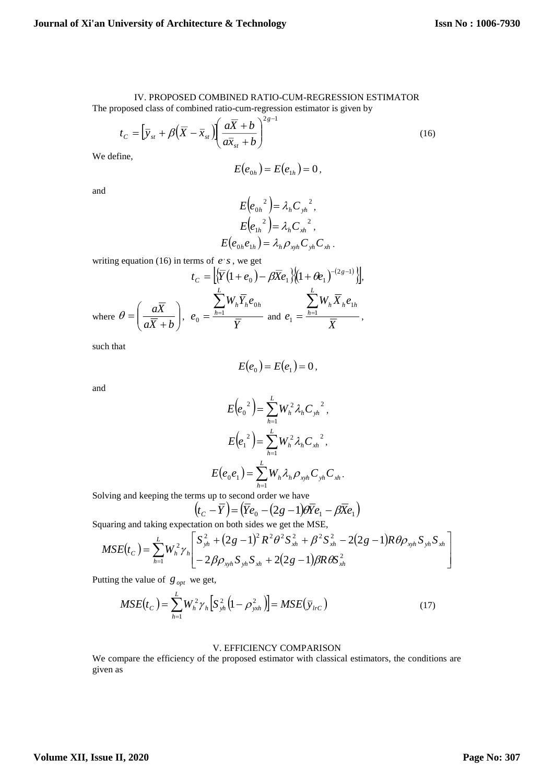# IV. PROPOSED COMBINED RATIO-CUM-REGRESSION ESTIMATOR

The proposed class of combined ratio-cum-regression estimator is given by

$$
t_C = \left[\overline{y}_{st} + \beta \left(\overline{X} - \overline{x}_{st}\right) \left(\frac{a\overline{X} + b}{a\overline{x}_{st} + b}\right)^{2g-1}\right]
$$
\n(16)

We define,

$$
E(e_{0h})=E(e_{1h})=0,
$$

and

$$
E(e_{0h}^{2}) = \lambda_h C_{yh}^{2},
$$
  
\n
$$
E(e_{1h}^{2}) = \lambda_h C_{xh}^{2},
$$
  
\n
$$
E(e_{0h}e_{1h}) = \lambda_h \rho_{xyh} C_{yh} C_{xh}.
$$

writing equation (16) in terms of  $e$ 's, we get

$$
t_C = \left[ \left\{ \overline{Y} (1 + e_0) - \beta \overline{X} e_1 \right\} \left[ (1 + \theta e_1)^{-(2g-1)} \right] \right],
$$
  
where  $\theta = \left( \frac{a \overline{X}}{a \overline{X} + b} \right)$ ,  $e_0 = \frac{\sum_{h=1}^{L} W_h \overline{X}_h e_{0h}}{\overline{Y}} \text{ and } e_1 = \frac{\sum_{h=1}^{L} W_h \overline{X}_h e_{1h}}{\overline{X}},$ 

such that

$$
E(e_0) = E(e_1) = 0,
$$

and

$$
E(e_0^2) = \sum_{h=1}^{L} W_h^2 \lambda_h {C_{yh}}^2,
$$
  

$$
E(e_1^2) = \sum_{h=1}^{L} W_h^2 \lambda_h {C_{xh}}^2,
$$
  

$$
E(e_0 e_1) = \sum_{h=1}^{L} W_h \lambda_h \rho_{xyh} C_{yh} C_{xh}
$$

.

Solving and keeping the terms up to second order we have

$$
\left(t_c - \overline{Y}\right) = \left(\overline{Y}e_0 - (2g - 1)\theta \overline{Y}e_1 - \beta \overline{X}e_1\right)
$$

Squaring and taking expectation on both sides we get the MSE,

$$
MSE(t_C) = \sum_{h=1}^{L} W_h^2 \gamma_h \left[ \frac{S_{yh}^2 + (2g-1)^2 R^2 \theta^2 S_{xh}^2 + \beta^2 S_{xh}^2 - 2(2g-1)R \theta \rho_{xyh} S_{yh} S_{xh}}{-2 \beta \rho_{xyh} S_{yh} S_{xh} + 2(2g-1) \beta R \theta S_{xh}^2} \right]
$$

Putting the value of  $g_{opt}$  we get,

$$
MSE(t_C) = \sum_{h=1}^{L} W_h^2 \gamma_h \Big[ S_{yh}^2 \Big( 1 - \rho_{yxh}^2 \Big) \Big] = MSE(\bar{y}_{lrC})
$$
\n(17)

## V. EFFICIENCY COMPARISON

We compare the efficiency of the proposed estimator with classical estimators, the conditions are given as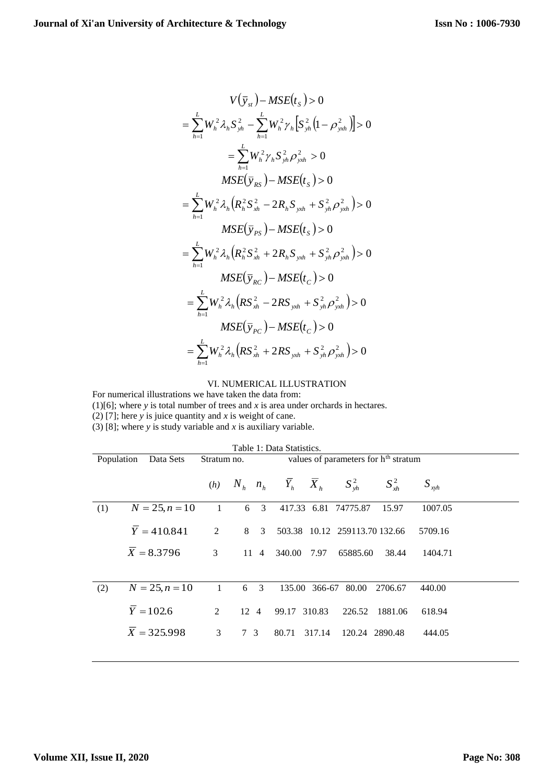$$
V(\bar{y}_{st}) - MSE(t_{s}) > 0
$$
  
=  $\sum_{h=1}^{L} W_{h}^{2} \lambda_{h} S_{yh}^{2} - \sum_{h=1}^{L} W_{h}^{2} \gamma_{h} [S_{yh}^{2} (1 - \rho_{yxh}^{2})] > 0$   
=  $\sum_{h=1}^{L} W_{h}^{2} \gamma_{h} S_{yh}^{2} \rho_{yxh}^{2} > 0$   

$$
MSE(\bar{y}_{RS}) - MSE(t_{s}) > 0
$$
  
=  $\sum_{h=1}^{L} W_{h}^{2} \lambda_{h} (R_{h}^{2} S_{xh}^{2} - 2R_{h} S_{yxh} + S_{yh}^{2} \rho_{yxh}^{2}) > 0$   

$$
MSE(\bar{y}_{PS}) - MSE(t_{s}) > 0
$$
  
=  $\sum_{h=1}^{L} W_{h}^{2} \lambda_{h} (R_{h}^{2} S_{xh}^{2} + 2R_{h} S_{yxh} + S_{yh}^{2} \rho_{yxh}^{2}) > 0$   

$$
MSE(\bar{y}_{RC}) - MSE(t_{C}) > 0
$$
  
=  $\sum_{h=1}^{L} W_{h}^{2} \lambda_{h} (RS_{xh}^{2} - 2RS_{yxh} + S_{yh}^{2} \rho_{yxh}^{2}) > 0$   

$$
MSE(\bar{y}_{PC}) - MSE(t_{C}) > 0
$$
  
=  $\sum_{h=1}^{L} W_{h}^{2} \lambda_{h} (RS_{xh}^{2} + 2RS_{yxh} + S_{yh}^{2} \rho_{yxh}^{2}) > 0$ 

## VI. NUMERICAL ILLUSTRATION

For numerical illustrations we have taken the data from:

(1)[6]; where *y* is total number of trees and *x* is area under orchards in hectares.

(2) [7]; here *y* is juice quantity and *x* is weight of cane.

(3) [8]; where *y* is study variable and *x* is auxiliary variable.

| Table 1: Data Statistics.                                                                  |                                      |                             |                                                                                            |     |  |  |  |  |
|--------------------------------------------------------------------------------------------|--------------------------------------|-----------------------------|--------------------------------------------------------------------------------------------|-----|--|--|--|--|
| Population<br>values of parameters for h <sup>th</sup> stratum<br>Data Sets<br>Stratum no. |                                      |                             |                                                                                            |     |  |  |  |  |
|                                                                                            | (h)                                  | $n_{h}$                     | $\overline{Y}_h$ $\overline{X}_h$<br>$S_{y h}^2$<br>$S_{xh}^2$<br>$S_{xvh}$                |     |  |  |  |  |
|                                                                                            | 1                                    | 6 <sup>3</sup>              | 417.33 6.81 74775.87<br>1007.05<br>15.97                                                   |     |  |  |  |  |
| $\overline{Y} = 410.841$<br>$\overline{X} = 8.3796$                                        | 2<br>3                               | 8<br>$\overline{3}$<br>11 4 | 503.38 10.12 259113.70 132.66<br>5709.16<br>65885.60<br>340.00<br>7.97<br>38.44<br>1404.71 |     |  |  |  |  |
|                                                                                            | 1                                    |                             | 135.00 366-67 80.00<br>2706.67<br>440.00                                                   |     |  |  |  |  |
| $\bar{Y} = 102.6$<br>$\overline{X}$ = 325.998                                              | 2<br>$\overline{3}$                  | $12 \quad 4$<br>7 3         | 99.17 310.83<br>226.52<br>1881.06<br>618.94<br>80.71<br>317.14<br>120.24 2890.48<br>444.05 |     |  |  |  |  |
|                                                                                            | $N = 25, n = 10$<br>$N = 25, n = 10$ |                             | $N_{h}$                                                                                    | 6 3 |  |  |  |  |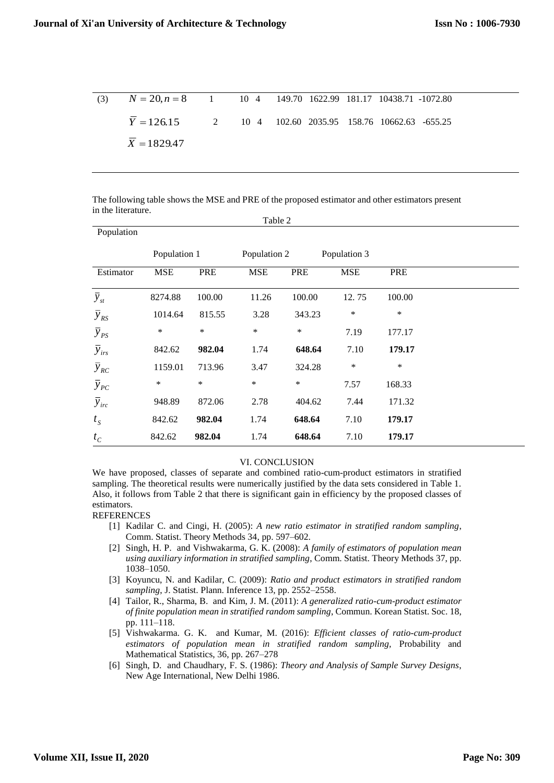| (3) $N = 20, n = 8$ 1 10 4 149.70 1622.99 181.17 10438.71 -1072.80 |  |  |  |  |
|--------------------------------------------------------------------|--|--|--|--|
| $Y = 126.15$ 2 10 4 102.60 2035.95 158.76 10662.63 -655.25         |  |  |  |  |
| $X = 1829.47$                                                      |  |  |  |  |

The following table shows the MSE and PRE of the proposed estimator and other estimators present in the literature.  $T<sub>11</sub>$ 

|                      |              |        | <b>Table</b> 2 |        |              |        |  |
|----------------------|--------------|--------|----------------|--------|--------------|--------|--|
| Population           |              |        |                |        |              |        |  |
|                      | Population 1 |        | Population 2   |        | Population 3 |        |  |
| Estimator            | <b>MSE</b>   | PRE    | <b>MSE</b>     | PRE    | <b>MSE</b>   | PRE    |  |
| $\bar{y}_{st}$       | 8274.88      | 100.00 | 11.26          | 100.00 | 12.75        | 100.00 |  |
| $\overline{y}_{RS}$  | 1014.64      | 815.55 | 3.28           | 343.23 | $\ast$       | ∗      |  |
| $\overline{y}_{PS}$  | *            | $\ast$ | $\ast$         | $\ast$ | 7.19         | 177.17 |  |
| $\overline{y}_{irs}$ | 842.62       | 982.04 | 1.74           | 648.64 | 7.10         | 179.17 |  |
| $\overline{y}_{RC}$  | 1159.01      | 713.96 | 3.47           | 324.28 | ∗            | $\ast$ |  |
| $\overline{y}_{PC}$  | *            | $\ast$ | $\ast$         | $\ast$ | 7.57         | 168.33 |  |
| $\overline{y}_{irc}$ | 948.89       | 872.06 | 2.78           | 404.62 | 7.44         | 171.32 |  |
| $t_{S}$              | 842.62       | 982.04 | 1.74           | 648.64 | 7.10         | 179.17 |  |
| $t_c$                | 842.62       | 982.04 | 1.74           | 648.64 | 7.10         | 179.17 |  |

#### VI. CONCLUSION

We have proposed, classes of separate and combined ratio-cum-product estimators in stratified sampling. The theoretical results were numerically justified by the data sets considered in Table 1. Also, it follows from Table 2 that there is significant gain in efficiency by the proposed classes of estimators.

#### REFERENCES

- [1] Kadilar C. and Cingi, H. (2005): *A new ratio estimator in stratified random sampling*, Comm. Statist. Theory Methods 34, pp. 597–602.
- [2] Singh, H. P. and Vishwakarma, G. K. (2008): *A family of estimators of population mean using auxiliary information in stratified sampling*, Comm. Statist. Theory Methods 37, pp. 1038–1050.
- [3] Koyuncu, N. and Kadilar, C. (2009): *Ratio and product estimators in stratified random sampling*, J. Statist. Plann. Inference 13, pp. 2552–2558.
- [4] Tailor, R., Sharma, B. and Kim, J. M. (2011): *A generalized ratio-cum-product estimator of finite population mean in stratified random sampling*, Commun. Korean Statist. Soc. 18, pp. 111–118.
- [5] Vishwakarma. G. K. and Kumar, M. (2016): *Efficient classes of ratio-cum-product estimators of population mean in stratified random sampling,* Probability and Mathematical Statistics, 36, pp. 267–278
- [6] Singh, D. and Chaudhary, F. S. (1986): *Theory and Analysis of Sample Survey Designs*, New Age International, New Delhi 1986.